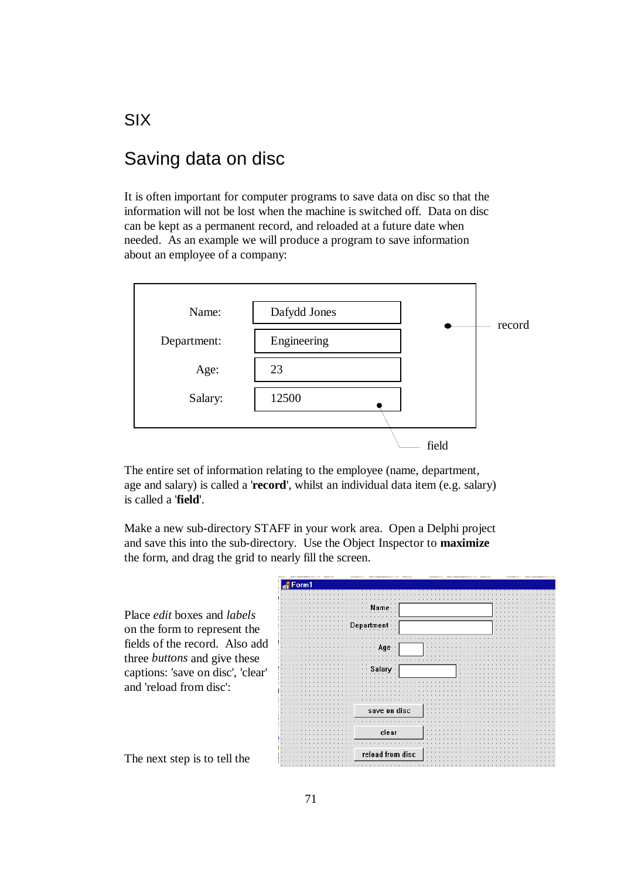# Saving data on disc

It is often important for computer programs to save data on disc so that the information will not be lost when the machine is switched off. Data on disc can be kept as a permanent record, and reloaded at a future date when needed. As an example we will produce a program to save information about an employee of a company:



The entire set of information relating to the employee (name, department, age and salary) is called a '**record**', whilst an individual data item (e.g. salary) is called a '**field**'.

Make a new sub-directory STAFF in your work area. Open a Delphi project and save this into the sub-directory. Use the Object Inspector to **maximize**  the form, and drag the grid to nearly fill the screen.

| Place <i>edit</i> boxes and <i>labels</i> |                  |  |
|-------------------------------------------|------------------|--|
| on the form to represent the              |                  |  |
| fields of the record. Also add            |                  |  |
| three <i>buttons</i> and give these       |                  |  |
| captions: 'save on disc', 'clear'         |                  |  |
| and 'reload from disc':                   |                  |  |
|                                           | save on disc     |  |
|                                           |                  |  |
|                                           | clear            |  |
| The next step is to tell the              | reload from disc |  |

SIX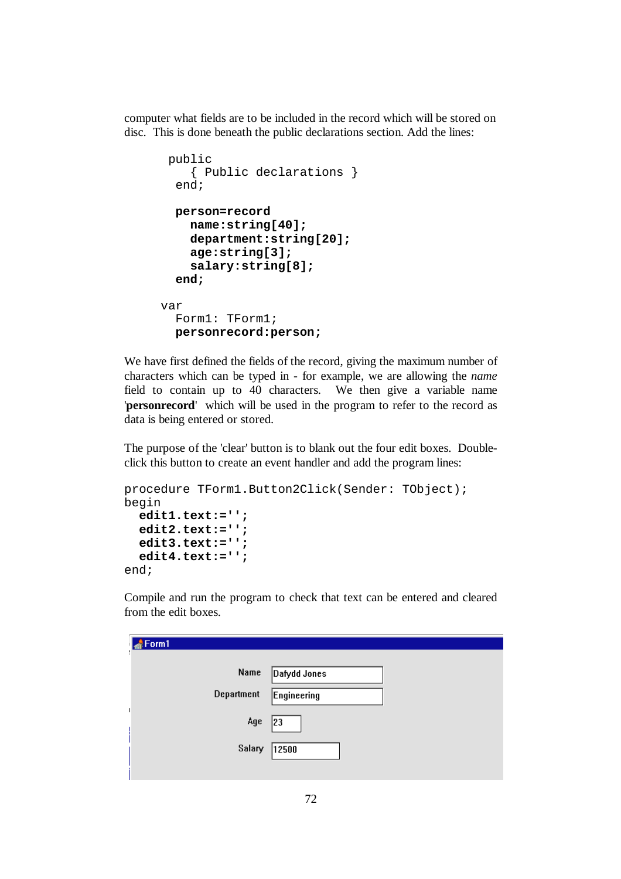computer what fields are to be included in the record which will be stored on disc. This is done beneath the public declarations section. Add the lines:

```
 public 
     { Public declarations } 
   end; 
   person=record 
     name:string[40]; 
     department:string[20]; 
     age:string[3]; 
     salary:string[8]; 
   end; 
var 
   Form1: TForm1; 
   personrecord:person;
```
We have first defined the fields of the record, giving the maximum number of characters which can be typed in - for example, we are allowing the *name* field to contain up to 40 characters. We then give a variable name '**personrecord**' which will be used in the program to refer to the record as data is being entered or stored.

The purpose of the 'clear' button is to blank out the four edit boxes. Doubleclick this button to create an event handler and add the program lines:

```
procedure TForm1.Button2Click(Sender: TObject); 
begin 
   edit1.text:=''; 
   edit2.text:=''; 
   edit3.text:=''; 
   edit4.text:=''; 
end;
```
Compile and run the program to check that text can be entered and cleared from the edit boxes.

| Form1 |            |              |  |
|-------|------------|--------------|--|
|       | Name       | Dafydd Jones |  |
|       | Department | Engineering  |  |
|       |            |              |  |
|       | Age        | 23           |  |
|       | Salary     | 12500        |  |
|       |            |              |  |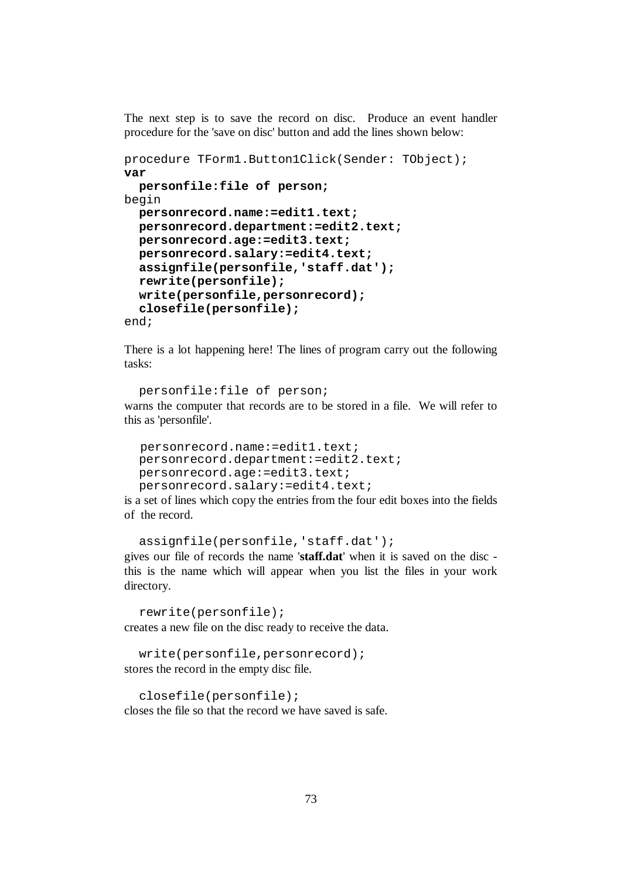The next step is to save the record on disc. Produce an event handler procedure for the 'save on disc' button and add the lines shown below:

```
procedure TForm1.Button1Click(Sender: TObject); 
var 
   personfile:file of person;
begin 
   personrecord.name:=edit1.text; 
   personrecord.department:=edit2.text; 
   personrecord.age:=edit3.text; 
   personrecord.salary:=edit4.text; 
   assignfile(personfile,'staff.dat'); 
   rewrite(personfile); 
   write(personfile,personrecord); 
   closefile(personfile); 
end;
```
There is a lot happening here! The lines of program carry out the following tasks:

```
 personfile:file of person; 
warns the computer that records are to be stored in a file. We will refer to 
this as 'personfile'.
```

```
 personrecord.name:=edit1.text; 
 personrecord.department:=edit2.text; 
 personrecord.age:=edit3.text; 
 personrecord.salary:=edit4.text;
```
is a set of lines which copy the entries from the four edit boxes into the fields of the record.

```
 assignfile(personfile,'staff.dat'); 
gives our file of records the name 'staff.dat' when it is saved on the disc - 
this is the name which will appear when you list the files in your work 
directory.
```
rewrite(personfile); creates a new file on the disc ready to receive the data.

```
 write(personfile,personrecord); 
stores the record in the empty disc file.
```
closefile(personfile); closes the file so that the record we have saved is safe.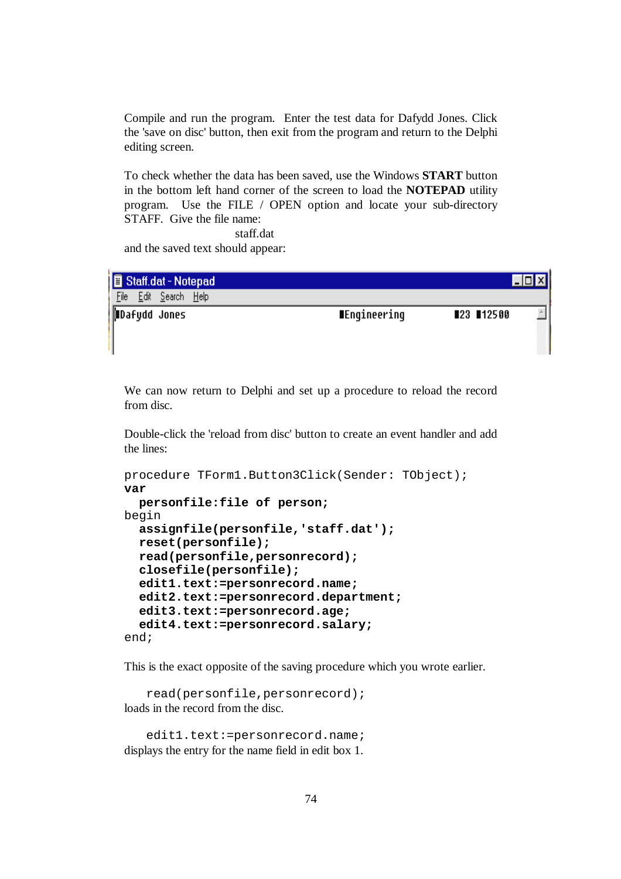Compile and run the program. Enter the test data for Dafydd Jones. Click the 'save on disc' button, then exit from the program and return to the Delphi editing screen.

To check whether the data has been saved, use the Windows **START** button in the bottom left hand corner of the screen to load the **NOTEPAD** utility program. Use the FILE / OPEN option and locate your sub-directory STAFF. Give the file name:

staff.dat

and the saved text should appear:

| <b>B</b> Staff.dat - Notepad |                  |                            | $ I$ d $x$ |
|------------------------------|------------------|----------------------------|------------|
| File                         | Edit Search Help |                            |            |
| Dafydd Jones                 |                  | ∎Engineering<br>■23 ■12500 |            |

H

We can now return to Delphi and set up a procedure to reload the record from disc.

Double-click the 'reload from disc' button to create an event handler and add the lines:

```
procedure TForm1.Button3Click(Sender: TObject); 
var 
   personfile:file of person; 
begin 
   assignfile(personfile,'staff.dat'); 
   reset(personfile); 
   read(personfile,personrecord); 
   closefile(personfile); 
   edit1.text:=personrecord.name; 
   edit2.text:=personrecord.department; 
   edit3.text:=personrecord.age; 
   edit4.text:=personrecord.salary; 
end;
```
This is the exact opposite of the saving procedure which you wrote earlier.

 read(personfile,personrecord); loads in the record from the disc.

edit1.text:=personrecord.name; displays the entry for the name field in edit box 1.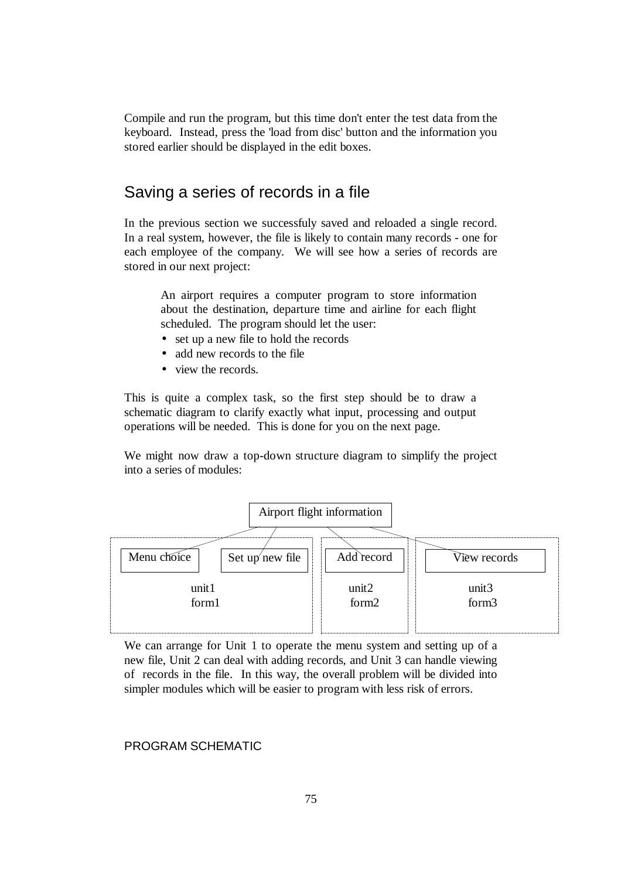Compile and run the program, but this time don't enter the test data from the keyboard. Instead, press the 'load from disc' button and the information you stored earlier should be displayed in the edit boxes.

## Saving a series of records in a file

In the previous section we successfuly saved and reloaded a single record. In a real system, however, the file is likely to contain many records - one for each employee of the company. We will see how a series of records are stored in our next project:

An airport requires a computer program to store information about the destination, departure time and airline for each flight scheduled. The program should let the user:

- set up a new file to hold the records
- add new records to the file
- view the records.

This is quite a complex task, so the first step should be to draw a schematic diagram to clarify exactly what input, processing and output operations will be needed. This is done for you on the next page.

We might now draw a top-down structure diagram to simplify the project into a series of modules:



We can arrange for Unit 1 to operate the menu system and setting up of a new file, Unit 2 can deal with adding records, and Unit 3 can handle viewing of records in the file. In this way, the overall problem will be divided into simpler modules which will be easier to program with less risk of errors.

### PROGRAM SCHEMATIC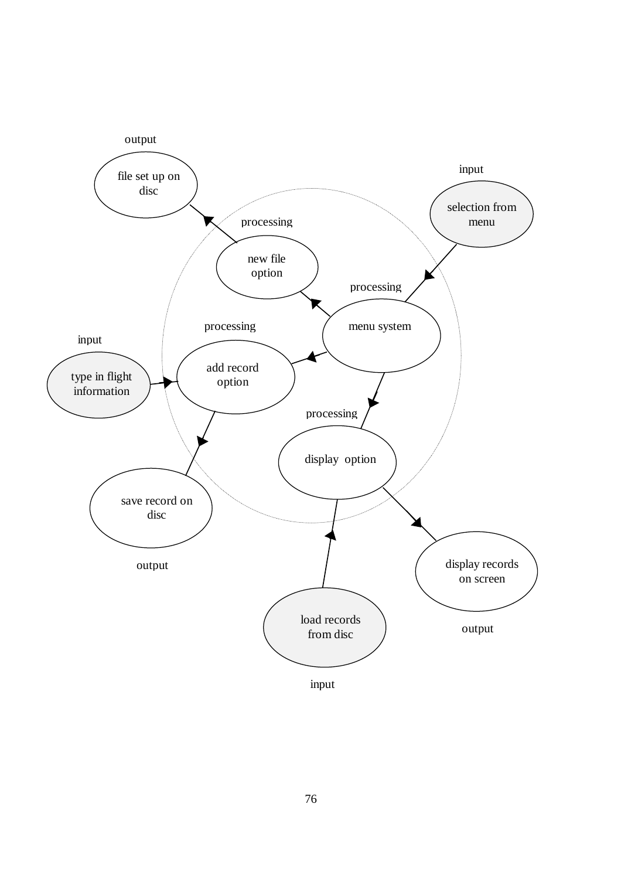

input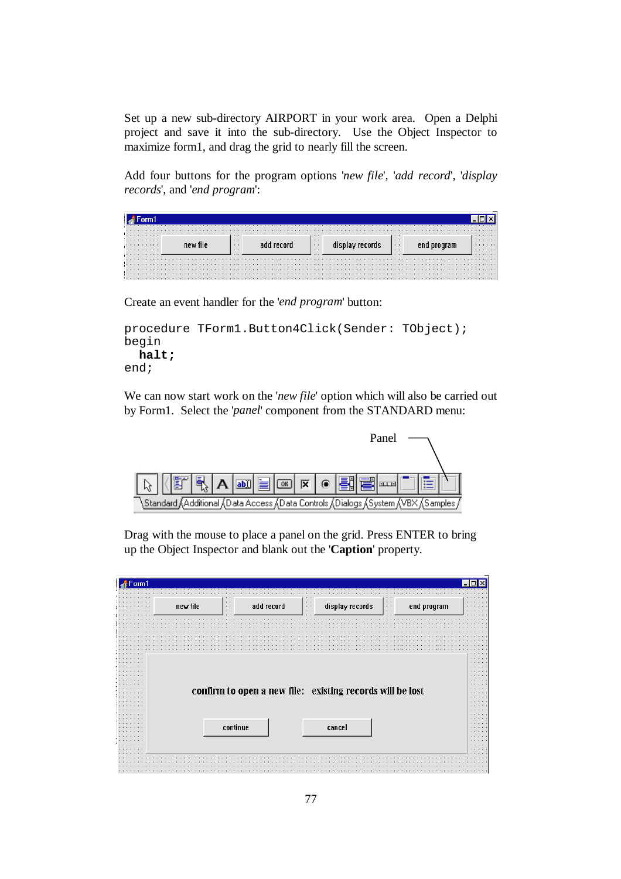Set up a new sub-directory AIRPORT in your work area. Open a Delphi project and save it into the sub-directory. Use the Object Inspector to maximize form1, and drag the grid to nearly fill the screen.

Add four buttons for the program options '*new file*', '*add record*', '*display records*', and '*end program*':

| <del>.</del>          |  |  |  |  |  |  |  |  |  |  |  |                                                                |  |  |  |  |  |  |  |  |                                                                 |  |  |  |  |  |  |  |                                            |  |  |  |  |  |  |  |  |  | .                |
|-----------------------|--|--|--|--|--|--|--|--|--|--|--|----------------------------------------------------------------|--|--|--|--|--|--|--|--|-----------------------------------------------------------------|--|--|--|--|--|--|--|--------------------------------------------|--|--|--|--|--|--|--|--|--|------------------|
| .<br>.<br>.<br>.<br>. |  |  |  |  |  |  |  |  |  |  |  | $-11111$<br><b>CONTRACTOR</b><br>$-11111$<br><b>CONTRACTOR</b> |  |  |  |  |  |  |  |  | $\cdots$<br>$\sim$ $\sim$<br>$\cdots$<br><b><i><u>B</u></i></b> |  |  |  |  |  |  |  | $\cdots$<br>$\sim$<br>$\cdots$<br>$\cdots$ |  |  |  |  |  |  |  |  |  | .<br>.<br>.<br>. |
|                       |  |  |  |  |  |  |  |  |  |  |  |                                                                |  |  |  |  |  |  |  |  |                                                                 |  |  |  |  |  |  |  |                                            |  |  |  |  |  |  |  |  |  |                  |
|                       |  |  |  |  |  |  |  |  |  |  |  |                                                                |  |  |  |  |  |  |  |  |                                                                 |  |  |  |  |  |  |  |                                            |  |  |  |  |  |  |  |  |  |                  |

Create an event handler for the '*end program*' button:

```
procedure TForm1.Button4Click(Sender: TObject); 
begin 
   halt; 
end;
```
We can now start work on the '*new file*' option which will also be carried out by Form1. Select the '*panel*' component from the STANDARD menu:



Drag with the mouse to place a panel on the grid. Press ENTER to bring up the Object Inspector and blank out the '**Caption**' property.

| new file<br>$\sim$ $\sim$<br>$\cdots$ | add record                                                | $\sim$ $\sim$<br>$\sim$<br>$\sim$ $\sim$ | display records | $\sim$ $\sim$<br>$\sim$ $\sim$<br>$\sim$ 10 $\pm$ | end program |  |
|---------------------------------------|-----------------------------------------------------------|------------------------------------------|-----------------|---------------------------------------------------|-------------|--|
|                                       |                                                           |                                          |                 |                                                   |             |  |
|                                       |                                                           |                                          |                 |                                                   |             |  |
|                                       |                                                           |                                          |                 |                                                   |             |  |
|                                       |                                                           |                                          |                 |                                                   |             |  |
|                                       |                                                           |                                          |                 |                                                   |             |  |
|                                       |                                                           |                                          |                 |                                                   |             |  |
|                                       |                                                           |                                          |                 |                                                   |             |  |
|                                       |                                                           |                                          |                 |                                                   |             |  |
|                                       |                                                           |                                          |                 |                                                   |             |  |
|                                       |                                                           |                                          |                 |                                                   |             |  |
|                                       |                                                           |                                          |                 |                                                   |             |  |
|                                       |                                                           |                                          |                 |                                                   |             |  |
|                                       |                                                           |                                          |                 |                                                   |             |  |
|                                       | confirm to open a new file: existing records will be lost |                                          |                 |                                                   |             |  |
|                                       |                                                           |                                          |                 |                                                   |             |  |
|                                       |                                                           |                                          |                 |                                                   |             |  |
|                                       |                                                           |                                          |                 |                                                   |             |  |
|                                       |                                                           |                                          |                 |                                                   |             |  |
|                                       |                                                           |                                          |                 |                                                   |             |  |
|                                       |                                                           |                                          |                 |                                                   |             |  |
|                                       |                                                           |                                          |                 |                                                   |             |  |
|                                       | continue                                                  |                                          | cancel          |                                                   |             |  |
|                                       |                                                           |                                          |                 |                                                   |             |  |
|                                       |                                                           |                                          |                 |                                                   |             |  |
|                                       |                                                           |                                          |                 |                                                   |             |  |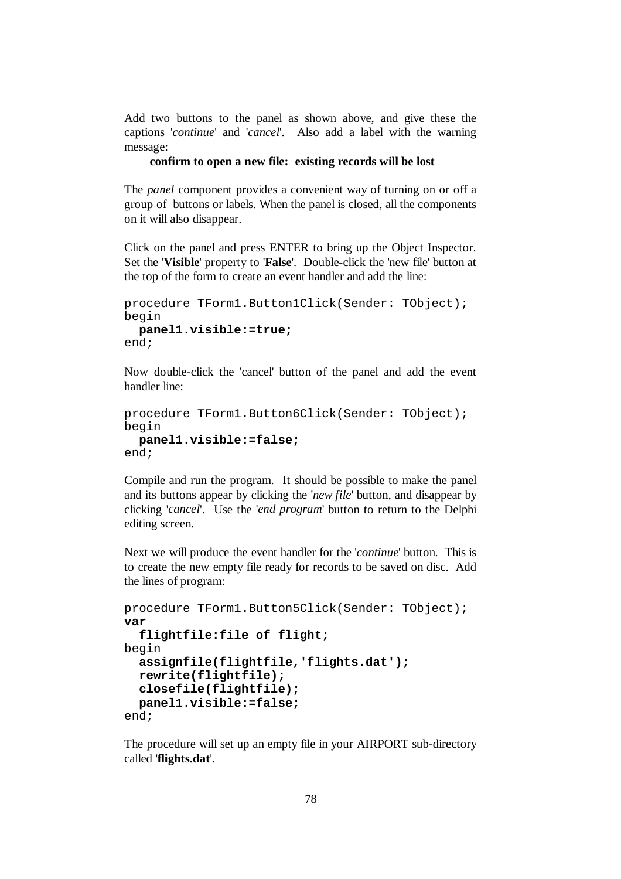Add two buttons to the panel as shown above, and give these the captions '*continue*' and '*cancel*'. Also add a label with the warning message:

#### **confirm to open a new file: existing records will be lost**

The *panel* component provides a convenient way of turning on or off a group of buttons or labels. When the panel is closed, all the components on it will also disappear.

Click on the panel and press ENTER to bring up the Object Inspector. Set the '**Visible**' property to '**False**'. Double-click the 'new file' button at the top of the form to create an event handler and add the line:

```
procedure TForm1.Button1Click(Sender: TObject); 
begin 
   panel1.visible:=true; 
end;
```
Now double-click the 'cancel' button of the panel and add the event handler line:

```
procedure TForm1.Button6Click(Sender: TObject); 
begin 
   panel1.visible:=false; 
end;
```
Compile and run the program. It should be possible to make the panel and its buttons appear by clicking the '*new file*' button, and disappear by clicking '*cancel*'. Use the '*end program*' button to return to the Delphi editing screen.

Next we will produce the event handler for the '*continue*' button. This is to create the new empty file ready for records to be saved on disc. Add the lines of program:

```
procedure TForm1.Button5Click(Sender: TObject); 
var 
   flightfile:file of flight; 
begin 
   assignfile(flightfile,'flights.dat'); 
   rewrite(flightfile); 
   closefile(flightfile); 
   panel1.visible:=false; 
end;
```
The procedure will set up an empty file in your AIRPORT sub-directory called '**flights.dat**'.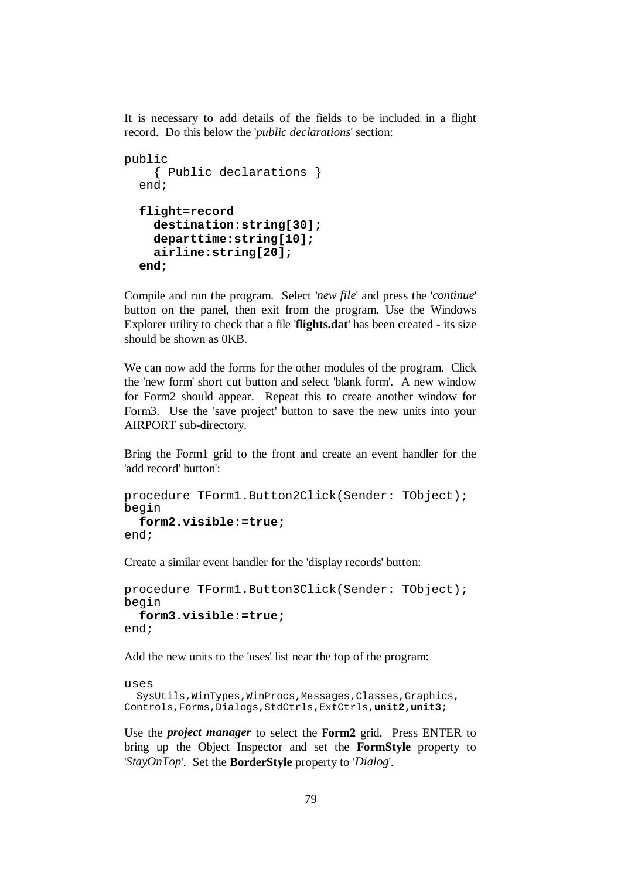It is necessary to add details of the fields to be included in a flight record. Do this below the '*public declarations*' section:

```
public 
     { Public declarations } 
   end; 
   flight=record 
     destination:string[30]; 
     departtime:string[10]; 
     airline:string[20]; 
   end;
```
Compile and run the program. Select '*new file*' and press the '*continue*' button on the panel, then exit from the program. Use the Windows Explorer utility to check that a file '**flights.dat**' has been created - its size should be shown as 0KB.

We can now add the forms for the other modules of the program. Click the 'new form' short cut button and select 'blank form'. A new window for Form2 should appear. Repeat this to create another window for Form3. Use the 'save project' button to save the new units into your AIRPORT sub-directory.

Bring the Form1 grid to the front and create an event handler for the 'add record' button':

```
procedure TForm1.Button2Click(Sender: TObject); 
begin 
   form2.visible:=true;
end;
```
Create a similar event handler for the 'display records' button:

```
procedure TForm1.Button3Click(Sender: TObject); 
begin 
   form3.visible:=true; 
end;
```
Add the new units to the 'uses' list near the top of the program:

```
uses 
  SysUtils, WinTypes, WinProcs, Messages, Classes, Graphics,
Controls,Forms,Dialogs,StdCtrls,ExtCtrls,unit2,unit3;
```
Use the *project manager* to select the F**orm2** grid. Press ENTER to bring up the Object Inspector and set the **FormStyle** property to '*StayOnTop*'. Set the **BorderStyle** property to '*Dialog*'.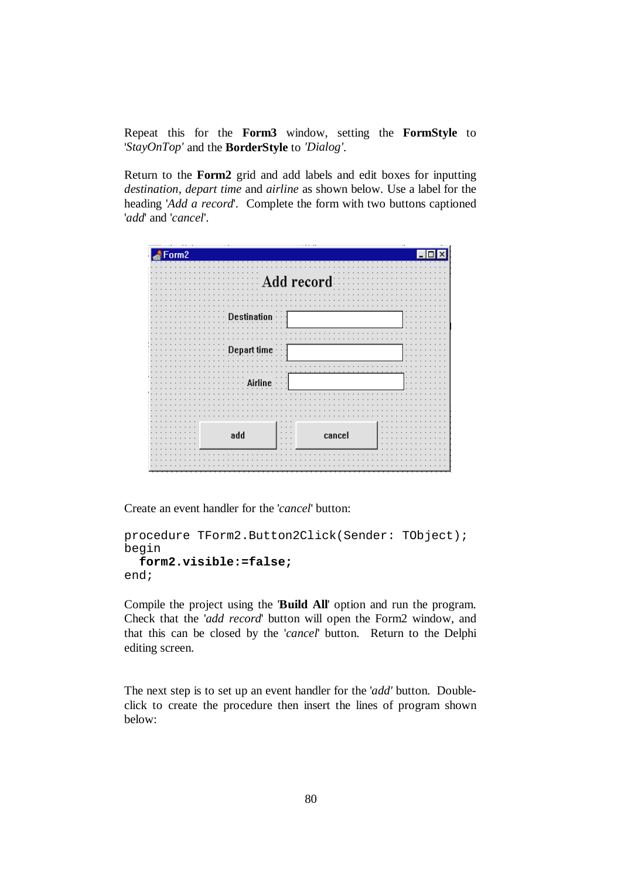Repeat this for the **Form3** window, setting the **FormStyle** to '*StayOnTop'* and the **BorderStyle** to *'Dialog'*.

Return to the **Form2** grid and add labels and edit boxes for inputting *destination*, *depart time* and *airline* as shown below. Use a label for the heading '*Add a record*'. Complete the form with two buttons captioned '*add*' and '*cancel*'.



Create an event handler for the '*cancel*' button:

```
procedure TForm2.Button2Click(Sender: TObject); 
begin 
   form2.visible:=false; 
end;
```
Compile the project using the '**Build All**' option and run the program. Check that the '*add record*' button will open the Form2 window, and that this can be closed by the '*cancel*' button. Return to the Delphi editing screen.

The next step is to set up an event handler for the '*add'* button. Doubleclick to create the procedure then insert the lines of program shown below: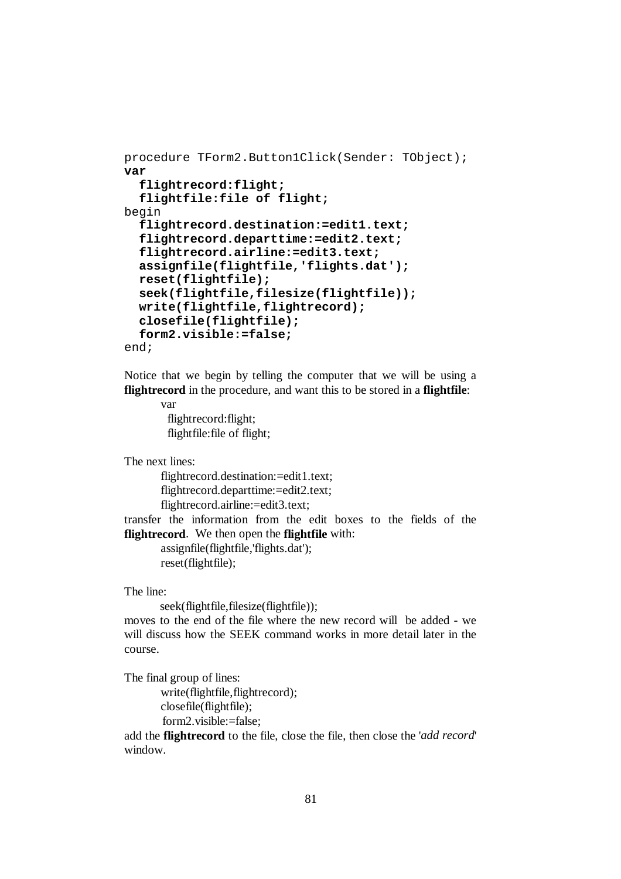```
procedure TForm2.Button1Click(Sender: TObject); 
var 
   flightrecord:flight; 
   flightfile:file of flight; 
begin 
   flightrecord.destination:=edit1.text; 
   flightrecord.departtime:=edit2.text; 
   flightrecord.airline:=edit3.text; 
   assignfile(flightfile,'flights.dat'); 
   reset(flightfile); 
   seek(flightfile,filesize(flightfile)); 
   write(flightfile,flightrecord); 
   closefile(flightfile); 
   form2.visible:=false; 
end;
```
Notice that we begin by telling the computer that we will be using a **flightrecord** in the procedure, and want this to be stored in a **flightfile**:

> var flightrecord:flight; flightfile:file of flight;

The next lines:

flightrecord.destination:=edit1.text; flightrecord.departtime:=edit2.text; flightrecord.airline:=edit3.text;

transfer the information from the edit boxes to the fields of the **flightrecord**. We then open the **flightfile** with:

> assignfile(flightfile,'flights.dat'); reset(flightfile);

The line:

seek(flightfile,filesize(flightfile));

moves to the end of the file where the new record will be added - we will discuss how the SEEK command works in more detail later in the course.

The final group of lines:

write(flightfile,flightrecord); closefile(flightfile); form2.visible:=false;

add the **flightrecord** to the file, close the file, then close the '*add record*' window.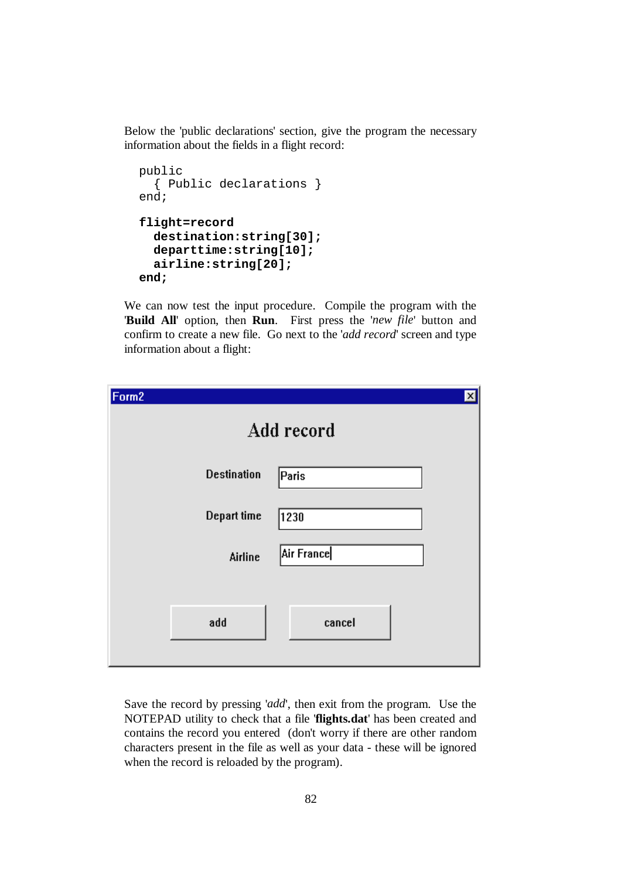Below the 'public declarations' section, give the program the necessary information about the fields in a flight record:

```
 public 
   { Public declarations } 
 end; 
 flight=record 
   destination:string[30]; 
   departtime:string[10]; 
   airline:string[20]; 
 end;
```
We can now test the input procedure. Compile the program with the '**Build All**' option, then **Run**. First press the '*new file*' button and confirm to create a new file. Go next to the '*add record*' screen and type information about a flight:

| Form <sub>2</sub> |                    | $\boldsymbol{\mathsf{x}}$ |
|-------------------|--------------------|---------------------------|
|                   |                    | Add record                |
|                   | <b>Destination</b> | Paris                     |
|                   | Depart time        | 1230                      |
|                   | Airline            | Air France                |
|                   |                    |                           |
|                   | add                | cancel                    |

Save the record by pressing '*add*', then exit from the program. Use the NOTEPAD utility to check that a file '**flights.dat**' has been created and contains the record you entered (don't worry if there are other random characters present in the file as well as your data - these will be ignored when the record is reloaded by the program).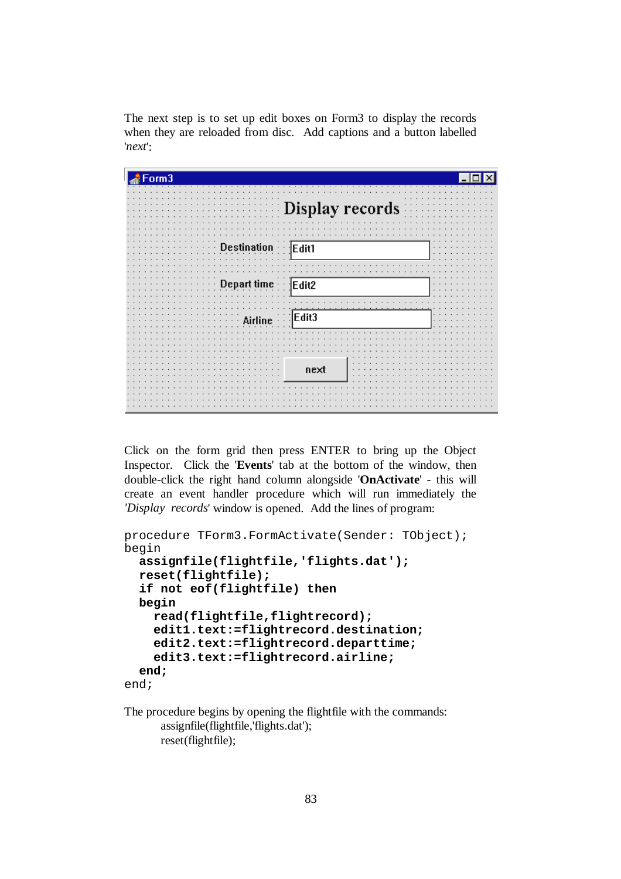The next step is to set up edit boxes on Form3 to display the records when they are reloaded from disc. Add captions and a button labelled '*next*':

| Form3                           |  |
|---------------------------------|--|
| <b>EXPEDISION PECOFDS</b>       |  |
| on · · · · Edit1                |  |
|                                 |  |
| $time$ $Edit2$<br><b>Depart</b> |  |
| $_{\sf ne}$ : : Edit3           |  |
| next                            |  |
|                                 |  |

Click on the form grid then press ENTER to bring up the Object Inspector. Click the '**Events**' tab at the bottom of the window, then double-click the right hand column alongside '**OnActivate**' - this will create an event handler procedure which will run immediately the *'Display records*' window is opened. Add the lines of program:

```
procedure TForm3.FormActivate(Sender: TObject); 
begin 
   assignfile(flightfile,'flights.dat'); 
   reset(flightfile); 
   if not eof(flightfile) then 
   begin 
     read(flightfile,flightrecord); 
     edit1.text:=flightrecord.destination; 
     edit2.text:=flightrecord.departtime; 
     edit3.text:=flightrecord.airline; 
   end; 
end;
```
The procedure begins by opening the flightfile with the commands: assignfile(flightfile,'flights.dat'); reset(flightfile);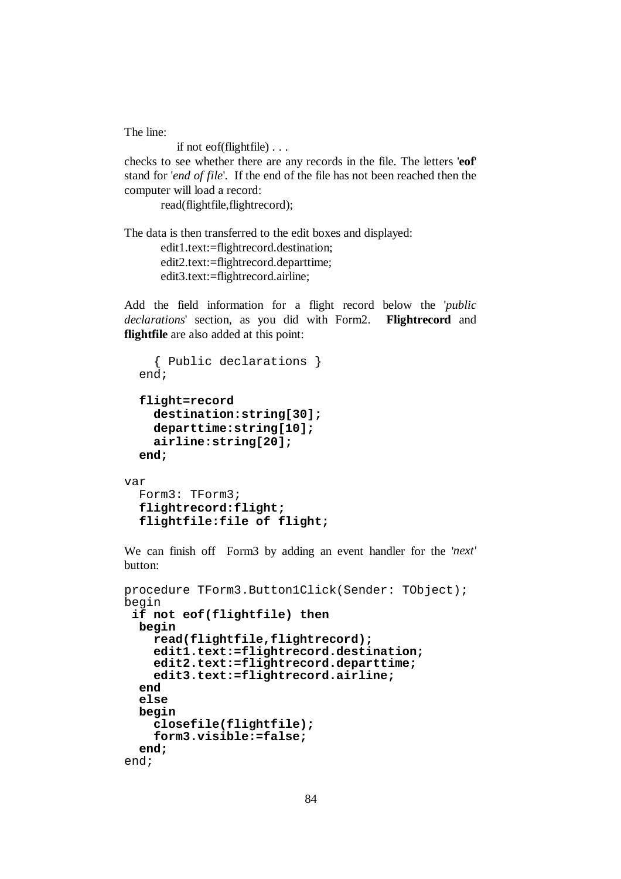The line:

if not eof(flightfile) . . .

checks to see whether there are any records in the file. The letters '**eof**' stand for '*end of file*'. If the end of the file has not been reached then the computer will load a record:

read(flightfile,flightrecord);

The data is then transferred to the edit boxes and displayed:

edit1.text:=flightrecord.destination; edit2.text:=flightrecord.departtime; edit3.text:=flightrecord.airline;

Add the field information for a flight record below the '*public declarations*' section, as you did with Form2. **Flightrecord** and **flightfile** are also added at this point:

```
 { Public declarations } 
 end; 
 flight=record 
   destination:string[30]; 
   departtime:string[10]; 
   airline:string[20]; 
 end;
```
var

```
 Form3: TForm3; 
 flightrecord:flight; 
 flightfile:file of flight;
```
We can finish off Form3 by adding an event handler for the '*next'* button:

```
procedure TForm3.Button1Click(Sender: TObject); 
begin 
 if not eof(flightfile) then 
   begin 
     read(flightfile,flightrecord); 
     edit1.text:=flightrecord.destination; 
     edit2.text:=flightrecord.departtime; 
     edit3.text:=flightrecord.airline; 
   end 
   else 
   begin 
     closefile(flightfile); 
     form3.visible:=false; 
   end; 
end;
```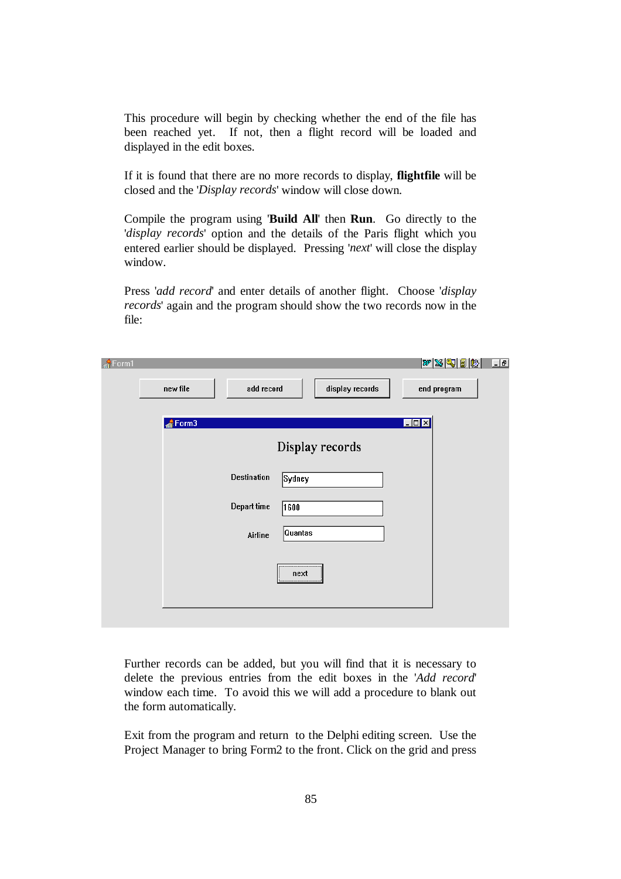This procedure will begin by checking whether the end of the file has been reached yet. If not, then a flight record will be loaded and displayed in the edit boxes.

If it is found that there are no more records to display, **flightfile** will be closed and the '*Display records*' window will close down.

Compile the program using '**Build All**' then **Run**. Go directly to the '*display records*' option and the details of the Paris flight which you entered earlier should be displayed. Pressing '*next*' will close the display window.

Press '*add record*' and enter details of another flight. Choose '*display records*' again and the program should show the two records now in the file:

| $\frac{4}{11}$ Form1 |          |                    |                 | $ \mathcal{W} \mathcal{Z} \mathcal{Q} \mathcal{Q} \mathcal{B} \mathcal{R} $<br>$\Box$ el |
|----------------------|----------|--------------------|-----------------|------------------------------------------------------------------------------------------|
|                      | new file | add record         | display records | end program                                                                              |
|                      | Form3    |                    |                 | $\Box$                                                                                   |
|                      |          |                    | Display records |                                                                                          |
|                      |          | <b>Destination</b> | Sydney          |                                                                                          |
|                      |          | Depart time        | 1600            |                                                                                          |
|                      |          | Airline            | Quantas         |                                                                                          |
|                      |          |                    | <br>next<br>    |                                                                                          |
|                      |          |                    |                 |                                                                                          |

Further records can be added, but you will find that it is necessary to delete the previous entries from the edit boxes in the '*Add record*' window each time. To avoid this we will add a procedure to blank out the form automatically.

Exit from the program and return to the Delphi editing screen. Use the Project Manager to bring Form2 to the front. Click on the grid and press